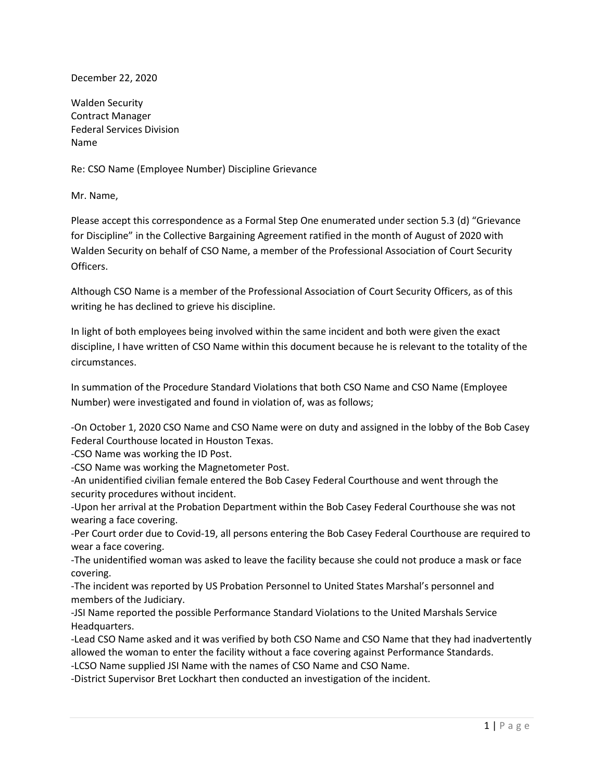December 22, 2020

Walden Security Contract Manager Federal Services Division Name

Re: CSO Name (Employee Number) Discipline Grievance

Mr. Name,

Please accept this correspondence as a Formal Step One enumerated under section 5.3 (d) "Grievance for Discipline" in the Collective Bargaining Agreement ratified in the month of August of 2020 with Walden Security on behalf of CSO Name, a member of the Professional Association of Court Security Officers.

Although CSO Name is a member of the Professional Association of Court Security Officers, as of this writing he has declined to grieve his discipline.

In light of both employees being involved within the same incident and both were given the exact discipline, I have written of CSO Name within this document because he is relevant to the totality of the circumstances.

In summation of the Procedure Standard Violations that both CSO Name and CSO Name (Employee Number) were investigated and found in violation of, was as follows;

-On October 1, 2020 CSO Name and CSO Name were on duty and assigned in the lobby of the Bob Casey Federal Courthouse located in Houston Texas.

-CSO Name was working the ID Post.

-CSO Name was working the Magnetometer Post.

-An unidentified civilian female entered the Bob Casey Federal Courthouse and went through the security procedures without incident.

-Upon her arrival at the Probation Department within the Bob Casey Federal Courthouse she was not wearing a face covering.

-Per Court order due to Covid-19, all persons entering the Bob Casey Federal Courthouse are required to wear a face covering.

-The unidentified woman was asked to leave the facility because she could not produce a mask or face covering.

-The incident was reported by US Probation Personnel to United States Marshal's personnel and members of the Judiciary.

-JSI Name reported the possible Performance Standard Violations to the United Marshals Service Headquarters.

-Lead CSO Name asked and it was verified by both CSO Name and CSO Name that they had inadvertently allowed the woman to enter the facility without a face covering against Performance Standards.

-LCSO Name supplied JSI Name with the names of CSO Name and CSO Name.

-District Supervisor Bret Lockhart then conducted an investigation of the incident.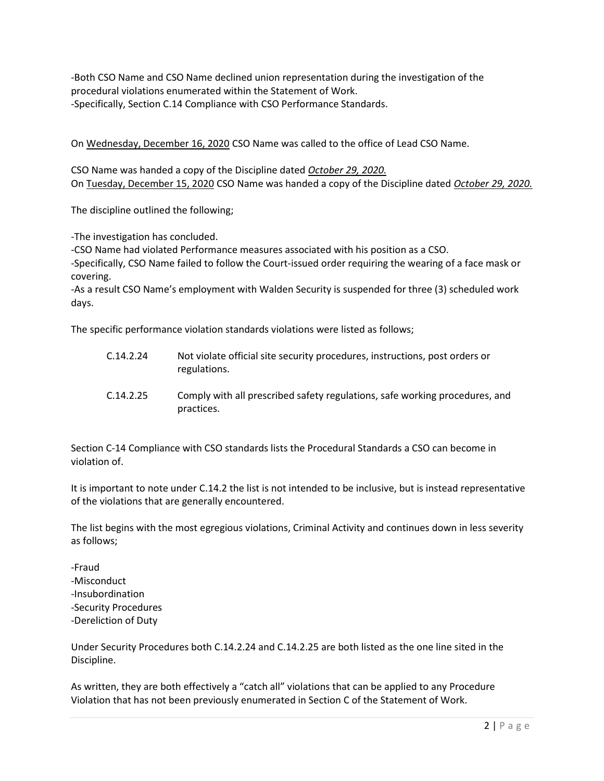-Both CSO Name and CSO Name declined union representation during the investigation of the procedural violations enumerated within the Statement of Work. -Specifically, Section C.14 Compliance with CSO Performance Standards.

On Wednesday, December 16, 2020 CSO Name was called to the office of Lead CSO Name.

CSO Name was handed a copy of the Discipline dated October 29, 2020. On Tuesday, December 15, 2020 CSO Name was handed a copy of the Discipline dated October 29, 2020.

The discipline outlined the following;

-The investigation has concluded.

-CSO Name had violated Performance measures associated with his position as a CSO.

-Specifically, CSO Name failed to follow the Court-issued order requiring the wearing of a face mask or covering.

-As a result CSO Name's employment with Walden Security is suspended for three (3) scheduled work days.

The specific performance violation standards violations were listed as follows;

- C.14.2.24 Not violate official site security procedures, instructions, post orders or regulations.
- C.14.2.25 Comply with all prescribed safety regulations, safe working procedures, and practices.

Section C-14 Compliance with CSO standards lists the Procedural Standards a CSO can become in violation of.

It is important to note under C.14.2 the list is not intended to be inclusive, but is instead representative of the violations that are generally encountered.

The list begins with the most egregious violations, Criminal Activity and continues down in less severity as follows;

-Fraud -Misconduct -Insubordination -Security Procedures -Dereliction of Duty

Under Security Procedures both C.14.2.24 and C.14.2.25 are both listed as the one line sited in the Discipline.

As written, they are both effectively a "catch all" violations that can be applied to any Procedure Violation that has not been previously enumerated in Section C of the Statement of Work.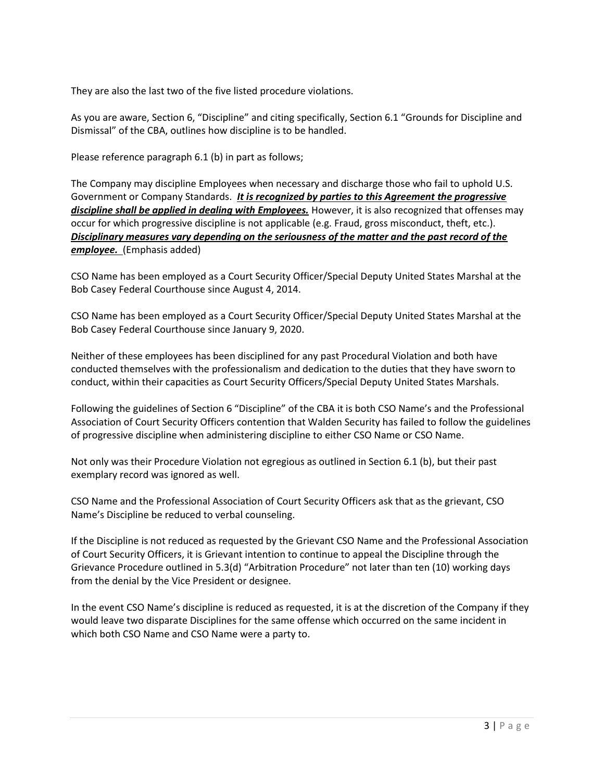They are also the last two of the five listed procedure violations.

As you are aware, Section 6, "Discipline" and citing specifically, Section 6.1 "Grounds for Discipline and Dismissal" of the CBA, outlines how discipline is to be handled.

Please reference paragraph 6.1 (b) in part as follows;

The Company may discipline Employees when necessary and discharge those who fail to uphold U.S. Government or Company Standards. It is recognized by parties to this Agreement the progressive discipline shall be applied in dealing with Employees. However, it is also recognized that offenses may occur for which progressive discipline is not applicable (e.g. Fraud, gross misconduct, theft, etc.). Disciplinary measures vary depending on the seriousness of the matter and the past record of the employee. (Emphasis added)

CSO Name has been employed as a Court Security Officer/Special Deputy United States Marshal at the Bob Casey Federal Courthouse since August 4, 2014.

CSO Name has been employed as a Court Security Officer/Special Deputy United States Marshal at the Bob Casey Federal Courthouse since January 9, 2020.

Neither of these employees has been disciplined for any past Procedural Violation and both have conducted themselves with the professionalism and dedication to the duties that they have sworn to conduct, within their capacities as Court Security Officers/Special Deputy United States Marshals.

Following the guidelines of Section 6 "Discipline" of the CBA it is both CSO Name's and the Professional Association of Court Security Officers contention that Walden Security has failed to follow the guidelines of progressive discipline when administering discipline to either CSO Name or CSO Name.

Not only was their Procedure Violation not egregious as outlined in Section 6.1 (b), but their past exemplary record was ignored as well.

CSO Name and the Professional Association of Court Security Officers ask that as the grievant, CSO Name's Discipline be reduced to verbal counseling.

If the Discipline is not reduced as requested by the Grievant CSO Name and the Professional Association of Court Security Officers, it is Grievant intention to continue to appeal the Discipline through the Grievance Procedure outlined in 5.3(d) "Arbitration Procedure" not later than ten (10) working days from the denial by the Vice President or designee.

In the event CSO Name's discipline is reduced as requested, it is at the discretion of the Company if they would leave two disparate Disciplines for the same offense which occurred on the same incident in which both CSO Name and CSO Name were a party to.